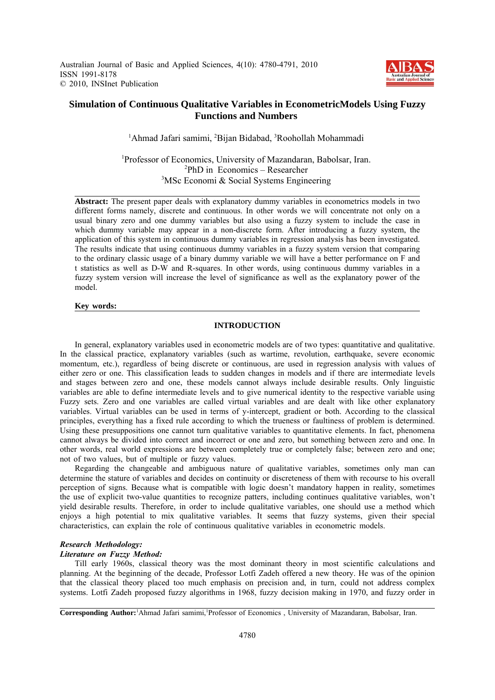Australian Journal of Basic and Applied Sciences, 4(10): 4780-4791, 2010 ISSN 1991-8178 © 2010, INSInet Publication



## **Simulation of Continuous Qualitative Variables in EconometricModels Using Fuzzy Functions and Numbers**

<sup>1</sup>Ahmad Jafari samimi, <sup>2</sup>Bijan Bidabad, <sup>3</sup>Roohollah Mohammadi

<sup>1</sup>Professor of Economics, University of Mazandaran, Babolsar, Iran.  ${}^{2}PhD$  in Economics – Researcher <sup>3</sup>MSc Economi & Social Systems Engineering

**Abstract:** The present paper deals with explanatory dummy variables in econometrics models in two different forms namely, discrete and continuous. In other words we will concentrate not only on a usual binary zero and one dummy variables but also using a fuzzy system to include the case in which dummy variable may appear in a non-discrete form. After introducing a fuzzy system, the application of this system in continuous dummy variables in regression analysis has been investigated. The results indicate that using continuous dummy variables in a fuzzy system version that comparing to the ordinary classic usage of a binary dummy variable we will have a better performance on F and t statistics as well as D-W and R-squares. In other words, using continuous dummy variables in a fuzzy system version will increase the level of significance as well as the explanatory power of the model.

## **Key words:**

## **INTRODUCTION**

In general, explanatory variables used in econometric models are of two types: quantitative and qualitative. In the classical practice, explanatory variables (such as wartime, revolution, earthquake, severe economic momentum, etc.), regardless of being discrete or continuous, are used in regression analysis with values of either zero or one. This classification leads to sudden changes in models and if there are intermediate levels and stages between zero and one, these models cannot always include desirable results. Only linguistic variables are able to define intermediate levels and to give numerical identity to the respective variable using Fuzzy sets. Zero and one variables are called virtual variables and are dealt with like other explanatory variables. Virtual variables can be used in terms of y-intercept, gradient or both. According to the classical principles, everything has a fixed rule according to which the trueness or faultiness of problem is determined. Using these presuppositions one cannot turn qualitative variables to quantitative elements. In fact, phenomena cannot always be divided into correct and incorrect or one and zero, but something between zero and one. In other words, real world expressions are between completely true or completely false; between zero and one; not of two values, but of multiple or fuzzy values.

Regarding the changeable and ambiguous nature of qualitative variables, sometimes only man can determine the stature of variables and decides on continuity or discreteness of them with recourse to his overall perception of signs. Because what is compatible with logic doesn't mandatory happen in reality, sometimes the use of explicit two-value quantities to recognize patters, including continues qualitative variables, won't yield desirable results. Therefore, in order to include qualitative variables, one should use a method which enjoys a high potential to mix qualitative variables. It seems that fuzzy systems, given their special characteristics, can explain the role of continuous qualitative variables in econometric models.

## *Research Methodology:*

## *Literature on Fuzzy Method:*

Till early 1960s, classical theory was the most dominant theory in most scientific calculations and planning. At the beginning of the decade, Professor Lotfi Zadeh offered a new theory. He was of the opinion that the classical theory placed too much emphasis on precision and, in turn, could not address complex systems. Lotfi Zadeh proposed fuzzy algorithms in 1968, fuzzy decision making in 1970, and fuzzy order in

Corresponding Author:<sup>1</sup> Ahmad Jafari samimi,<sup>1</sup> Professor of Economics, University of Mazandaran, Babolsar, Iran.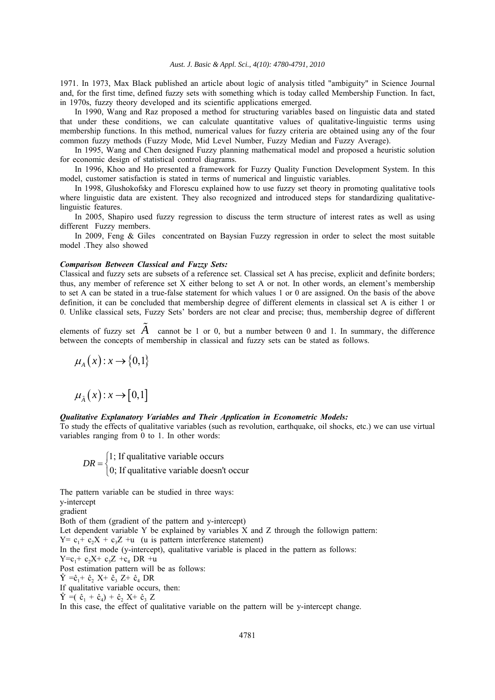1971. In 1973, Max Black published an article about logic of analysis titled "ambiguity" in Science Journal and, for the first time, defined fuzzy sets with something which is today called Membership Function. In fact, in 1970s, fuzzy theory developed and its scientific applications emerged.

In 1990, Wang and Raz proposed a method for structuring variables based on linguistic data and stated that under these conditions, we can calculate quantitative values of qualitative-linguistic terms using membership functions. In this method, numerical values for fuzzy criteria are obtained using any of the four common fuzzy methods (Fuzzy Mode, Mid Level Number, Fuzzy Median and Fuzzy Average).

In 1995, Wang and Chen designed Fuzzy planning mathematical model and proposed a heuristic solution for economic design of statistical control diagrams.

In 1996, Khoo and Ho presented a framework for Fuzzy Quality Function Development System. In this model, customer satisfaction is stated in terms of numerical and linguistic variables.

In 1998, Glushokofsky and Florescu explained how to use fuzzy set theory in promoting qualitative tools where linguistic data are existent. They also recognized and introduced steps for standardizing qualitativelinguistic features.

In 2005, Shapiro used fuzzy regression to discuss the term structure of interest rates as well as using different Fuzzy members.

In 2009, Feng & Giles concentrated on Baysian Fuzzy regression in order to select the most suitable model .They also showed

### *Comparison Between Classical and Fuzzy Sets:*

Classical and fuzzy sets are subsets of a reference set. Classical set A has precise, explicit and definite borders; thus, any member of reference set X either belong to set A or not. In other words, an element's membership to set A can be stated in a true-false statement for which values 1 or 0 are assigned. On the basis of the above definition, it can be concluded that membership degree of different elements in classical set A is either 1 or 0. Unlike classical sets, Fuzzy Sets' borders are not clear and precise; thus, membership degree of different

elements of fuzzy set  $A$  cannot be 1 or 0, but a number between 0 and 1. In summary, the difference between the concepts of membership in classical and fuzzy sets can be stated as follows.

$$
\mu_A(x):x\to\{0,1\}
$$

 $\mu_{\tilde{A}}(x): x \to [0,1]$ 

## *Qualitative Explanatory Variables and Their Application in Econometric Models:*

To study the effects of qualitative variables (such as revolution, earthquake, oil shocks, etc.) we can use virtual variables ranging from 0 to 1. In other words:

1; If qualitative variable occurs  $DR = \begin{cases} 1; \text{ If qualitative variable occurs} \\ 0; \text{ If qualitative variable doesn't occur} \end{cases}$  $\overline{\mathcal{L}}$ 

The pattern variable can be studied in three ways:

y-intercept gradient

Both of them (gradient of the pattern and y-intercept) Let dependent variable Y be explained by variables X and Z through the followign pattern:  $Y = c_1 + c_2X + c_3Z + u$  (u is pattern interference statement) In the first mode (y-intercept), qualitative variable is placed in the pattern as follows:  $Y=c_1+c_2X+c_3Z+c_4DR +u$ Post estimation pattern will be as follows:  $\hat{Y} = \hat{c}_1 + \hat{c}_2 X + \hat{c}_3 Z + \hat{c}_4 DR$ If qualitative variable occurs, then:  $\hat{Y} = (\hat{c}_1 + \hat{c}_4) + \hat{c}_2 X + \hat{c}_3 Z$ In this case, the effect of qualitative variable on the pattern will be y-intercept change.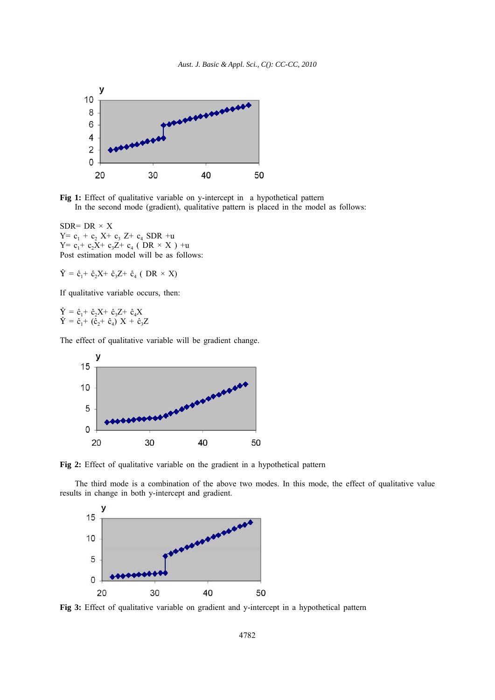

**Fig 1:** Effect of qualitative variable on y-intercept in a hypothetical pattern In the second mode (gradient), qualitative pattern is placed in the model as follows:

SDR= DR  $\times$  X  $Y = c_1 + c_2$  X+  $c_3$  Z+  $c_4$  SDR +u Y=  $c_1$ +  $c_2X$ +  $c_3Z$ +  $c_4$  ( DR × X ) +u Post estimation model will be as follows:

 $\hat{Y} = \hat{c}_1 + \hat{c}_2 X + \hat{c}_3 Z + \hat{c}_4 (DR \times X)$ 

If qualitative variable occurs, then:

 $\hat{Y} = \hat{c}_1 + \hat{c}_2 X + \hat{c}_3 Z + \hat{c}_4 X$  $\hat{Y} = \hat{c}_1 + (\hat{c}_2 + \hat{c}_4) X + \hat{c}_3 Z$ 

The effect of qualitative variable will be gradient change.



**Fig 2:** Effect of qualitative variable on the gradient in a hypothetical pattern

The third mode is a combination of the above two modes. In this mode, the effect of qualitative value results in change in both y-intercept and gradient.



**Fig 3:** Effect of qualitative variable on gradient and y-intercept in a hypothetical pattern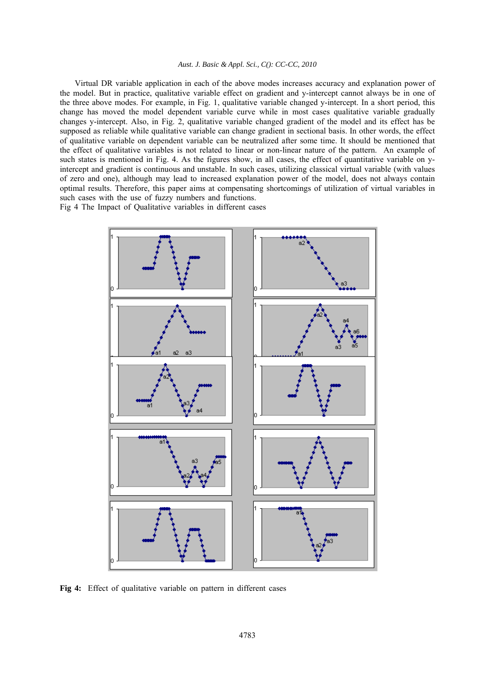Virtual DR variable application in each of the above modes increases accuracy and explanation power of the model. But in practice, qualitative variable effect on gradient and y-intercept cannot always be in one of the three above modes. For example, in Fig. 1, qualitative variable changed y-intercept. In a short period, this change has moved the model dependent variable curve while in most cases qualitative variable gradually changes y-intercept. Also, in Fig. 2, qualitative variable changed gradient of the model and its effect has be supposed as reliable while qualitative variable can change gradient in sectional basis. In other words, the effect of qualitative variable on dependent variable can be neutralized after some time. It should be mentioned that the effect of qualitative variables is not related to linear or non-linear nature of the pattern. An example of such states is mentioned in Fig. 4. As the figures show, in all cases, the effect of quantitative variable on yintercept and gradient is continuous and unstable. In such cases, utilizing classical virtual variable (with values of zero and one), although may lead to increased explanation power of the model, does not always contain optimal results. Therefore, this paper aims at compensating shortcomings of utilization of virtual variables in such cases with the use of fuzzy numbers and functions.

Fig 4 The Impact of Qualitative variables in different cases



**Fig 4:** Effect of qualitative variable on pattern in different cases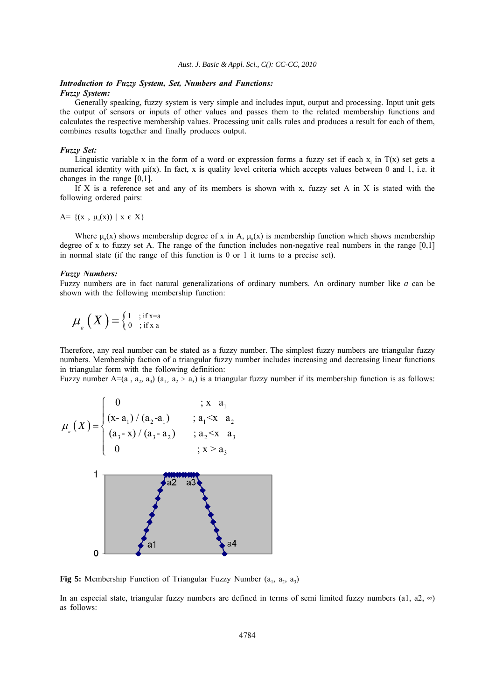## *Introduction to Fuzzy System, Set, Numbers and Functions: Fuzzy System:*

Generally speaking, fuzzy system is very simple and includes input, output and processing. Input unit gets the output of sensors or inputs of other values and passes them to the related membership functions and calculates the respective membership values. Processing unit calls rules and produces a result for each of them, combines results together and finally produces output.

## *Fuzzy Set:*

Linguistic variable x in the form of a word or expression forms a fuzzy set if each  $x_i$  in  $T(x)$  set gets a numerical identity with μi(x). In fact, x is quality level criteria which accepts values between 0 and 1, i.e. it changes in the range [0,1].

If  $X$  is a reference set and any of its members is shown with x, fuzzy set A in  $X$  is stated with the following ordered pairs:

 $A = \{(x, \mu_0(x)) \mid x \in X\}$ 

Where  $\mu_a(x)$  shows membership degree of x in A,  $\mu_a(x)$  is membership function which shows membership degree of x to fuzzy set A. The range of the function includes non-negative real numbers in the range  $[0,1]$ in normal state (if the range of this function is 0 or 1 it turns to a precise set).

## *Fuzzy Numbers:*

Fuzzy numbers are in fact natural generalizations of ordinary numbers. An ordinary number like *a* can be shown with the following membership function:

$$
\mu_{a}\left(X\right) = \left\{\begin{matrix} 1 & ; \text{if } x = a \\ 0 & ; \text{if } x a \end{matrix}\right\}
$$

Therefore, any real number can be stated as a fuzzy number. The simplest fuzzy numbers are triangular fuzzy numbers. Membership faction of a triangular fuzzy number includes increasing and decreasing linear functions in triangular form with the following definition:

Fuzzy number A=(a<sub>1</sub>, a<sub>2</sub>, a<sub>3</sub>) (a<sub>1</sub>, a<sub>2</sub>  $\geq$  a<sub>3</sub>) is a triangular fuzzy number if its membership function is as follows:

$$
\mu_{a}(X) = \begin{cases}\n0 & ; x \ a_{1} \\
(x-a_{1})/(a_{2}-a_{1}) & ; a_{1} \leq x \ a_{2} \\
(a_{3}-x)/(a_{3}-a_{2}) & ; a_{2} \leq x \ a_{3} \\
0 & ; x > a_{3}\n\end{cases}
$$
\n
$$
1
$$
\n
$$
1
$$
\n
$$
1
$$
\n
$$
1
$$
\n
$$
1
$$
\n
$$
1
$$
\n
$$
1
$$
\n
$$
1
$$
\n
$$
1
$$
\n
$$
1
$$
\n
$$
1
$$
\n
$$
1
$$
\n
$$
1
$$
\n
$$
1
$$
\n
$$
1
$$
\n
$$
1
$$
\n
$$
1
$$
\n
$$
1
$$
\n
$$
1
$$
\n
$$
1
$$
\n
$$
1
$$
\n
$$
1
$$
\n
$$
1
$$
\n
$$
1
$$
\n
$$
1
$$
\n
$$
1
$$
\n
$$
1
$$
\n
$$
1
$$
\n
$$
1
$$
\n
$$
1
$$
\n
$$
1
$$
\n
$$
1
$$
\n
$$
1
$$
\n
$$
1
$$
\n
$$
1
$$
\n
$$
1
$$
\n
$$
1
$$
\n
$$
1
$$
\n
$$
1
$$
\n
$$
1
$$
\n
$$
1
$$
\n
$$
1
$$
\n
$$
1
$$
\n
$$
1
$$
\n
$$
1
$$
\n
$$
1
$$
\n
$$
1
$$
\n
$$
1
$$
\n
$$
1
$$
\n
$$
1
$$
\n
$$
1
$$
\n
$$
1
$$
\n
$$
1
$$
\n
$$
1
$$
\n
$$
1
$$
\n
$$
1
$$
\n
$$
1
$$
\n
$$
1
$$
\n
$$
1
$$
\n
$$
1
$$

**Fig 5:** Membership Function of Triangular Fuzzy Number  $(a_1, a_2, a_3)$ 

In an especial state, triangular fuzzy numbers are defined in terms of semi limited fuzzy numbers (a1, a2,  $\infty$ ) as follows: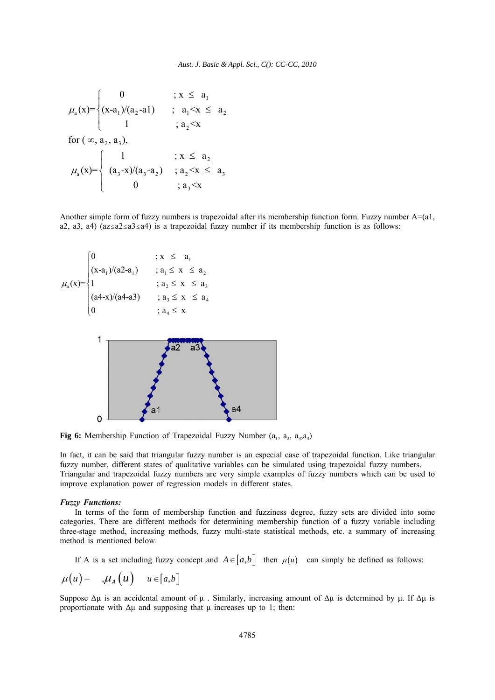$$
\mu_{a}(x) = \begin{cases}\n0 & ; x \leq a_{1} \\
(x-a_{1})/(a_{2}-a_{1}) & ; a_{1} < x \leq a_{2} \\
1 & ; a_{2} < x\n\end{cases}
$$
\nfor  $(\infty, a_{2}, a_{3})$ ,\n
$$
\mu_{a}(x) = \begin{cases}\n1 & ; x \leq a_{2} \\
(a_{3}-x)/(a_{3}-a_{2}) & ; a_{2} < x \leq a_{3} \\
0 & ; a_{3} < x\n\end{cases}
$$

Another simple form of fuzzy numbers is trapezoidal after its membership function form. Fuzzy number A=(a1, a2, a3, a4) ( $a \le a \le a \le a \le a$ 4) is a trapezoidal fuzzy number if its membership function is as follows:



Fig 6: Membership Function of Trapezoidal Fuzzy Number (a<sub>1</sub>, a<sub>2</sub>, a<sub>3</sub>, a<sub>4</sub>)

In fact, it can be said that triangular fuzzy number is an especial case of trapezoidal function. Like triangular fuzzy number, different states of qualitative variables can be simulated using trapezoidal fuzzy numbers. Triangular and trapezoidal fuzzy numbers are very simple examples of fuzzy numbers which can be used to improve explanation power of regression models in different states.

#### *Fuzzy Functions:*

In terms of the form of membership function and fuzziness degree, fuzzy sets are divided into some categories. There are different methods for determining membership function of a fuzzy variable including three-stage method, increasing methods, fuzzy multi-state statistical methods, etc. a summary of increasing method is mentioned below.

If A is a set including fuzzy concept and  $A \in [a, b]$  then  $\mu(u)$  can simply be defined as follows:

$$
\mu(u) = \mathcal{A}_A(u) \quad u \in [a, b]
$$

Suppose  $\Delta \mu$  is an accidental amount of  $\mu$ . Similarly, increasing amount of  $\Delta \mu$  is determined by  $\mu$ . If  $\Delta \mu$  is proportionate with  $\Delta \mu$  and supposing that  $\mu$  increases up to 1; then: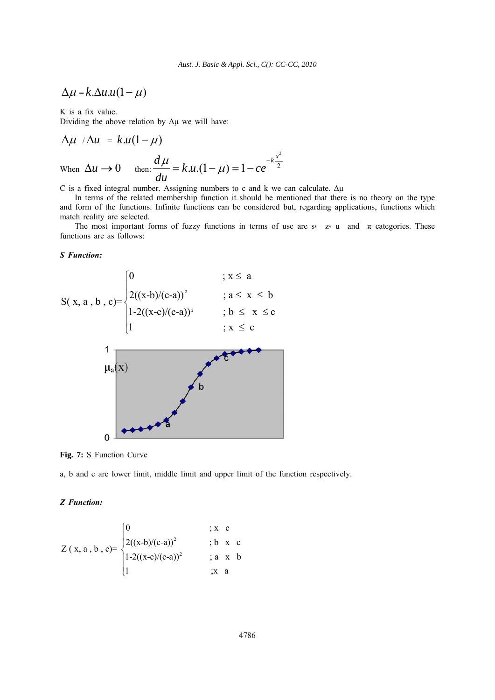$$
\Delta \mu = k \Delta u.u(1-\mu)
$$

K is a fix value.

Dividing the above relation by  $\Delta \mu$  we will have:

$$
\Delta \mu / \Delta u = k.u(1-\mu)
$$
  
When  $\Delta u \rightarrow 0$  then: 
$$
\frac{d\mu}{du} = k.u.(1-\mu) = 1 - ce^{-k\frac{x^2}{2}}
$$

C is a fixed integral number. Assigning numbers to c and k we can calculate.  $\Delta \mu$ 

In terms of the related membership function it should be mentioned that there is no theory on the type and form of the functions. Infinite functions can be considered but, regarding applications, functions which match reality are selected.

2

The most important forms of fuzzy functions in terms of use are s  $z \in \mathbb{Z}$  u and  $\pi$  categories. These functions are as follows:

## *S Function:*



**Fig. 7:** S Function Curve

a, b and c are lower limit, middle limit and upper limit of the function respectively.

## *Z Function:*

$$
Z(x, a, b, c) = \begin{cases} 0 & ; x \text{ c} \\ 2((x-b)/(c-a))^2 & ; b \text{ x c} \\ 1 - 2((x-c)/(c-a))^2 & ; a \text{ x b} \\ 1 & ; x \text{ a} \end{cases}
$$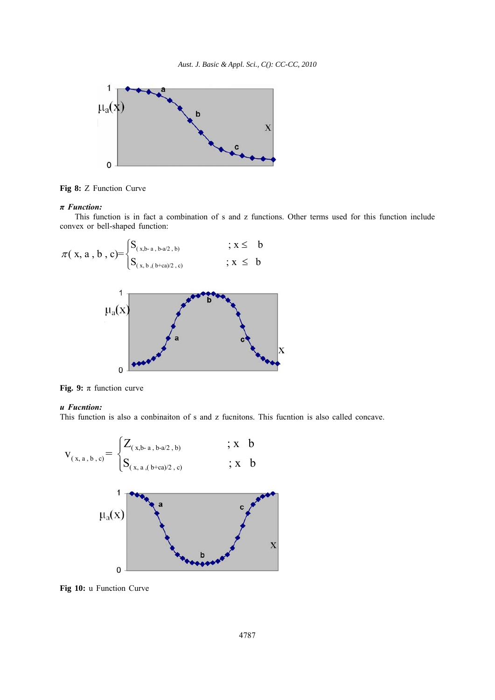

**Fig 8:** Z Function Curve

## *π Function:*

This function is in fact a combination of s and z functions. Other terms used for this function include convex or bell-shaped function:



**Fig. 9:**  $\pi$  function curve

 $\overline{0}$ 

## *u Fucntion:*

This function is also a conbinaiton of s and z fucnitons. This fucntion is also called concave.



**Fig 10:** u Function Curve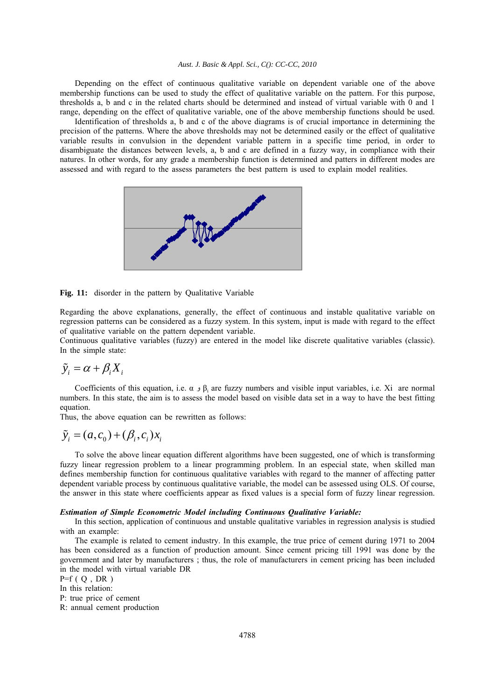Depending on the effect of continuous qualitative variable on dependent variable one of the above membership functions can be used to study the effect of qualitative variable on the pattern. For this purpose, thresholds a, b and c in the related charts should be determined and instead of virtual variable with 0 and 1 range, depending on the effect of qualitative variable, one of the above membership functions should be used.

Identification of thresholds a, b and c of the above diagrams is of crucial importance in determining the precision of the patterns. Where the above thresholds may not be determined easily or the effect of qualitative variable results in convulsion in the dependent variable pattern in a specific time period, in order to disambiguate the distances between levels, a, b and c are defined in a fuzzy way, in compliance with their natures. In other words, for any grade a membership function is determined and patters in different modes are assessed and with regard to the assess parameters the best pattern is used to explain model realities.



**Fig. 11:** disorder in the pattern by Qualitative Variable

Regarding the above explanations, generally, the effect of continuous and instable qualitative variable on regression patterns can be considered as a fuzzy system. In this system, input is made with regard to the effect of qualitative variable on the pattern dependent variable.

Continuous qualitative variables (fuzzy) are entered in the model like discrete qualitative variables (classic). In the simple state:

$$
\tilde{y}_i = \alpha + \beta_i X_i
$$

Coefficients of this equation, i.e. α  $\beta_i$  are fuzzy numbers and visible input variables, i.e. Xi are normal numbers. In this state, the aim is to assess the model based on visible data set in a way to have the best fitting equation.

Thus, the above equation can be rewritten as follows:

# $\tilde{y}_i = (a, c_0) + (\beta_i, c_i)x_i$

To solve the above linear equation different algorithms have been suggested, one of which is transforming fuzzy linear regression problem to a linear programming problem. In an especial state, when skilled man defines membership function for continuous qualitative variables with regard to the manner of affecting patter dependent variable process by continuous qualitative variable, the model can be assessed using OLS. Of course, the answer in this state where coefficients appear as fixed values is a special form of fuzzy linear regression.

#### *Estimation of Simple Econometric Model including Continuous Qualitative Variable:*

In this section, application of continuous and unstable qualitative variables in regression analysis is studied with an example:

The example is related to cement industry. In this example, the true price of cement during 1971 to 2004 has been considered as a function of production amount. Since cement pricing till 1991 was done by the government and later by manufacturers ; thus, the role of manufacturers in cement pricing has been included in the model with virtual variable DR

$$
P=f\left(\right. Q\ ,\, DR\ \right)
$$

In this relation:

P: true price of cement

R: annual cement production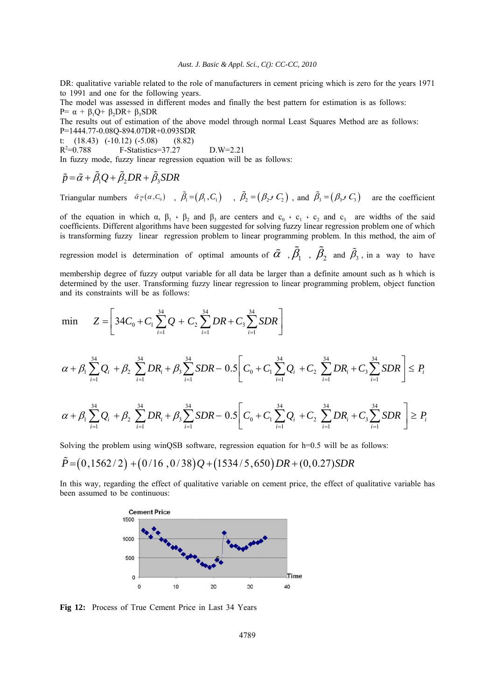DR: qualitative variable related to the role of manufacturers in cement pricing which is zero for the years 1971 to 1991 and one for the following years.

The model was assessed in different modes and finally the best pattern for estimation is as follows: P=  $\alpha$  + β<sub>1</sub>Q+ β<sub>2</sub>DR+ β<sub>3</sub>SDR

The results out of estimation of the above model through normal Least Squares Method are as follows: P=1444.77-0.08Q-894.07DR+0.093SDR

t: (18.43) (-10.12) (-5.08) (8.82)

 $R^2 = 0.788$ =0.788 F-Statistics=37.27 D.W=2.21

In fuzzy mode, fuzzy linear regression equation will be as follows:

$$
\tilde{p} = \tilde{\alpha} + \tilde{\beta}_1 Q + \tilde{\beta}_2 DR + \tilde{\beta}_3 SDR
$$

Triangular numbers  $\tilde{\alpha} = (\alpha, C_0)$ ,  $\tilde{\beta}_1 = (\beta_1, C_1)$ ,  $\tilde{\beta}_2 = (\beta_2 \circ C_2)$ , and  $\tilde{\beta}_3 = (\beta_3 \circ C_3)$  are the coefficient

of the equation in which  $\alpha$ ,  $\beta_1 \cdot \beta_2$  and  $\beta_3$  are centers and  $c_0 \cdot c_1 \cdot c_2$  and  $c_3$  are widths of the said coefficients. Different algorithms have been suggested for solving fuzzy linear regression problem one of which is transforming fuzzy linear regression problem to linear programming problem. In this method, the aim of

regression model is determination of optimal amounts of  $\tilde{\alpha}$  ,  $\tilde{\beta}_1$  ,  $\tilde{\beta}_2$  and  $\tilde{\beta}_3$ , in a way to have

membership degree of fuzzy output variable for all data be larger than a definite amount such as h which is determined by the user. Transforming fuzzy linear regression to linear programming problem, object function and its constraints will be as follows:

$$
\min \qquad Z = \left[34C_0 + C_1 \sum_{i=1}^{34} Q + C_2 \sum_{i=1}^{34} DR + C_3 \sum_{i=1}^{34} SDR\right]
$$

$$
\alpha+\beta_1\sum_{i=1}^{34}Q_i + \beta_2\sum_{i=1}^{34}DR_i + \beta_3\sum_{i=1}^{34}SDR - 0.5\bigg[ C_0 + C_1\sum_{i=1}^{34}Q_i + C_2\sum_{i=1}^{34}DR_i + C_3\sum_{i=1}^{34}SDR \bigg] \le P_i
$$

$$
\alpha + \beta_1 \sum_{i=1}^{34} Q_i + \beta_2 \sum_{i=1}^{34} DR_i + \beta_3 \sum_{i=1}^{34} SDR - 0.5 \Bigg[ C_0 + C_1 \sum_{i=1}^{34} Q_i + C_2 \sum_{i=1}^{34} DR_i + C_3 \sum_{i=1}^{34} SDR \Bigg] \ge P_i
$$

Solving the problem using winQSB software, regression equation for h=0.5 will be as follows:

$$
\tilde{P} = (0,1562/2) + (0/16,0/38)Q + (1534/5,650)DR + (0,0.27)SDR
$$

In this way, regarding the effect of qualitative variable on cement price, the effect of qualitative variable has been assumed to be continuous:



**Fig 12:** Process of True Cement Price in Last 34 Years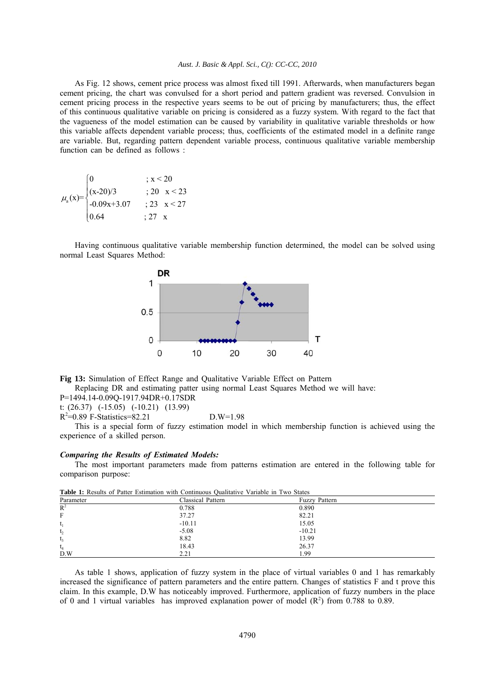As Fig. 12 shows, cement price process was almost fixed till 1991. Afterwards, when manufacturers began cement pricing, the chart was convulsed for a short period and pattern gradient was reversed. Convulsion in cement pricing process in the respective years seems to be out of pricing by manufacturers; thus, the effect of this continuous qualitative variable on pricing is considered as a fuzzy system. With regard to the fact that the vagueness of the model estimation can be caused by variability in qualitative variable thresholds or how this variable affects dependent variable process; thus, coefficients of the estimated model in a definite range are variable. But, regarding pattern dependent variable process, continuous qualitative variable membership function can be defined as follows :

$$
\mu_{a}(x) = \begin{cases}\n0 &; x < 20 \\
(x - 20)/3 &; 20 \le x < 23 \\
-0.09x + 3.07 &; 23 \le x < 27 \\
0.64 &; 27 \le x\n\end{cases}
$$

Having continuous qualitative variable membership function determined, the model can be solved using normal Least Squares Method:



**Fig 13:** Simulation of Effect Range and Qualitative Variable Effect on Pattern

Replacing DR and estimating patter using normal Least Squares Method we will have:

P=1494.14-0.09Q-1917.94DR+0.17SDR

t: (26.37) (-15.05) (-10.21) (13.99)

R2 =0.89 F-Statistics=82.21 D.W=1.98

This is a special form of fuzzy estimation model in which membership function is achieved using the experience of a skilled person.

## *Comparing the Results of Estimated Models:*

The most important parameters made from patterns estimation are entered in the following table for comparison purpose:

| <b>THOIC I</b> Regard of Fanci Estimation with Continuous Caumatry Vanuole in FWO States |                   |                      |  |
|------------------------------------------------------------------------------------------|-------------------|----------------------|--|
| Parameter                                                                                | Classical Pattern | <b>Fuzzy Pattern</b> |  |
| $R^2$                                                                                    | 0.788             | 0.890                |  |
| F                                                                                        | 37.27             | 82.21                |  |
| $t_1$                                                                                    | $-10.11$          | 15.05                |  |
| t <sub>2</sub>                                                                           | $-5.08$           | $-10.21$             |  |
| $t_{3}$                                                                                  | 8.82              | 13.99                |  |
| $t_4$                                                                                    | 18.43             | 26.37                |  |
| D.W                                                                                      | 2.21              | 1.99                 |  |

**Table 1:** Results of Patter Estimation with Continuous Qualitative Variable in Two States

As table 1 shows, application of fuzzy system in the place of virtual variables 0 and 1 has remarkably increased the significance of pattern parameters and the entire pattern. Changes of statistics F and t prove this claim. In this example, D.W has noticeably improved. Furthermore, application of fuzzy numbers in the place of 0 and 1 virtual variables has improved explanation power of model  $(R^2)$  from 0.788 to 0.89.